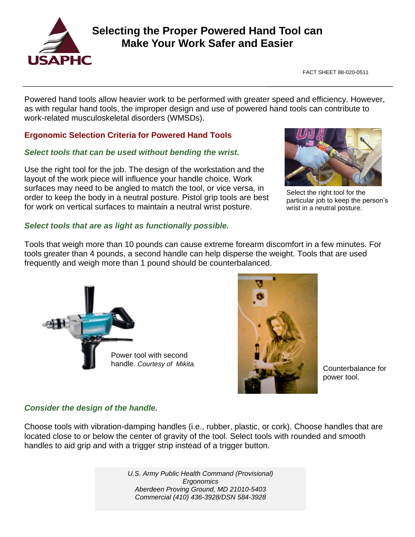

# **Selecting the Proper Powered Hand Tool can Make Your Work Safer and Easier**

FACT SHEET 88-020-0511

Powered hand tools allow heavier work to be performed with greater speed and efficiency. However, as with regular hand tools, the improper design and use of powered hand tools can contribute to work-related musculoskeletal disorders (WMSDs).

## **Ergonomic Selection Criteria for Powered Hand Tools**

### *Select tools that can be used without bending the wrist.*

Use the right tool for the job. The design of the workstation and the layout of the work piece will influence your handle choice. Work surfaces may need to be angled to match the tool, or vice versa, in order to keep the body in a neutral posture. Pistol grip tools are best for work on vertical surfaces to maintain a neutral wrist posture.



Select the right tool for the particular job to keep the person's wrist in a neutral posture.

#### *Select tools that are as light as functionally possible.*

Tools that weigh more than 10 pounds can cause extreme forearm discomfort in a few minutes. For tools greater than 4 pounds, a second handle can help disperse the weight. Tools that are used frequently and weigh more than 1 pound should be counterbalanced.





power tool.

## *Consider the design of the handle.*

Choose tools with vibration-damping handles (i.e., rubber, plastic, or cork). Choose handles that are located close to or below the center of gravity of the tool. Select tools with rounded and smooth handles to aid grip and with a trigger strip instead of a trigger button.

> *U.S. Army Public Health Command (Provisional) Ergonomics Aberdeen Proving Ground, MD 21010-5403 Commercial (410) 436-3928/DSN 584-3928*